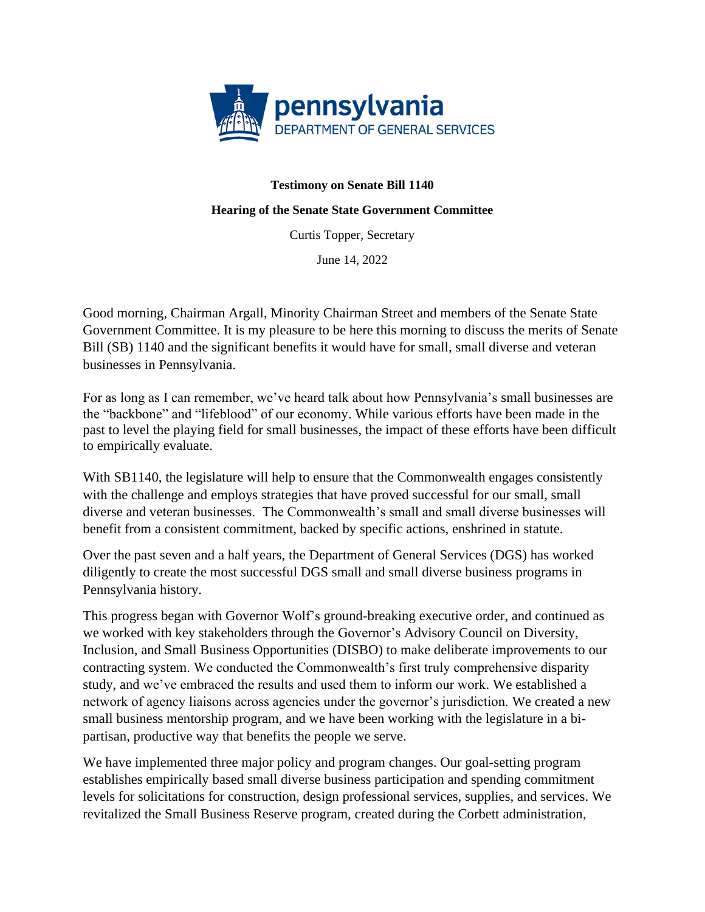

## **Testimony on Senate Bill 1140**

## **Hearing of the Senate State Government Committee**

Curtis Topper, Secretary

June 14, 2022

Good morning, Chairman Argall, Minority Chairman Street and members of the Senate State Government Committee. It is my pleasure to be here this morning to discuss the merits of Senate Bill (SB) 1140 and the significant benefits it would have for small, small diverse and veteran businesses in Pennsylvania.

For as long as I can remember, we've heard talk about how Pennsylvania's small businesses are the "backbone" and "lifeblood" of our economy. While various efforts have been made in the past to level the playing field for small businesses, the impact of these efforts have been difficult to empirically evaluate.

With SB1140, the legislature will help to ensure that the Commonwealth engages consistently with the challenge and employs strategies that have proved successful for our small, small diverse and veteran businesses. The Commonwealth's small and small diverse businesses will benefit from a consistent commitment, backed by specific actions, enshrined in statute.

Over the past seven and a half years, the Department of General Services (DGS) has worked diligently to create the most successful DGS small and small diverse business programs in Pennsylvania history.

This progress began with Governor Wolf's ground-breaking executive order, and continued as we worked with key stakeholders through the Governor's Advisory Council on Diversity, Inclusion, and Small Business Opportunities (DISBO) to make deliberate improvements to our contracting system. We conducted the Commonwealth's first truly comprehensive disparity study, and we've embraced the results and used them to inform our work. We established a network of agency liaisons across agencies under the governor's jurisdiction. We created a new small business mentorship program, and we have been working with the legislature in a bipartisan, productive way that benefits the people we serve.

We have implemented three major policy and program changes. Our goal-setting program establishes empirically based small diverse business participation and spending commitment levels for solicitations for construction, design professional services, supplies, and services. We revitalized the Small Business Reserve program, created during the Corbett administration,